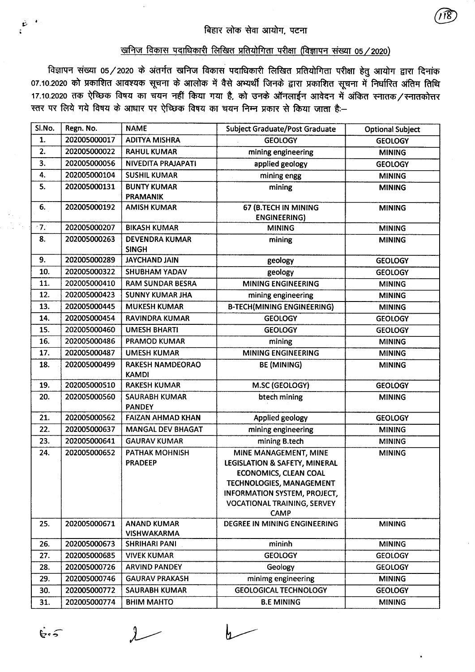## खनिज विकास पदाधिकारी लिखित प्रतियोगिता परीक्षा (विज्ञापन संख्या 05/2020)

विज्ञापन संख्या 05/2020 के अंतर्गत खनिज विकास पदाधिकारी लिखित प्रतियोगिता परीक्षा हेतु आयोग द्वारा दिनांक 07.10.2020 को प्रकाशित आवश्यक सूचना के आलोक में वैसे अभ्यर्थी जिनके द्वारा प्रकाशित सूचना में निर्धारित अंतिम तिथि 17.10.2020 तक ऐच्छिक विषय का चयन नहीं किया गया है, को उनके ऑनलाईन आवेदन में अंकित स्नातक/स्नातकोत्तर स्तर पर लिये गये विषय के आधार पर ऐच्छिक विषय का चयन निम्न प्रकार से किया जाता है:--

| Sl.No. | Regn. No.    | <b>NAME</b>                              | <b>Subject Graduate/Post Graduate</b>                                                                                                                                                                   | <b>Optional Subject</b> |
|--------|--------------|------------------------------------------|---------------------------------------------------------------------------------------------------------------------------------------------------------------------------------------------------------|-------------------------|
| 1.     | 202005000017 | <b>ADITYA MISHRA</b>                     | <b>GEOLOGY</b>                                                                                                                                                                                          | <b>GEOLOGY</b>          |
| 2.     | 202005000022 | <b>RAHUL KUMAR</b>                       | mining engineering                                                                                                                                                                                      | <b>MINING</b>           |
| 3.     | 202005000056 | NIVEDITA PRAJAPATI                       | applied geology                                                                                                                                                                                         | <b>GEOLOGY</b>          |
| 4.     | 202005000104 | <b>SUSHIL KUMAR</b>                      | mining engg                                                                                                                                                                                             | <b>MINING</b>           |
| 5.     | 202005000131 | <b>BUNTY KUMAR</b><br><b>PRAMANIK</b>    | mining                                                                                                                                                                                                  | <b>MINING</b>           |
| 6.     | 202005000192 | <b>AMISH KUMAR</b>                       | 67 (B.TECH IN MINING<br><b>ENGINEERING)</b>                                                                                                                                                             | <b>MINING</b>           |
| $-7.7$ | 202005000207 | <b>BIKASH KUMAR</b>                      | <b>MINING</b>                                                                                                                                                                                           | <b>MINING</b>           |
| 8.     | 202005000263 | <b>DEVENDRA KUMAR</b><br><b>SINGH</b>    | mining                                                                                                                                                                                                  | <b>MINING</b>           |
| 9.     | 202005000289 | <b>JAYCHAND JAIN</b>                     | geology                                                                                                                                                                                                 | <b>GEOLOGY</b>          |
| 10.    | 202005000322 | SHUBHAM YADAV                            | geology                                                                                                                                                                                                 | <b>GEOLOGY</b>          |
| 11.    | 202005000410 | <b>RAM SUNDAR BESRA</b>                  | <b>MINING ENGINEERING</b>                                                                                                                                                                               | <b>MINING</b>           |
| 12.    | 202005000423 | <b>SUNNY KUMAR JHA</b>                   | mining engineering                                                                                                                                                                                      | <b>MINING</b>           |
| 13.    | 202005000445 | <b>MUKESH KUMAR</b>                      | <b>B-TECH(MINING ENGINEERING)</b>                                                                                                                                                                       | <b>MINING</b>           |
| 14.    | 202005000454 | <b>RAVINDRA KUMAR</b>                    | <b>GEOLOGY</b>                                                                                                                                                                                          | <b>GEOLOGY</b>          |
| 15.    | 202005000460 | <b>UMESH BHARTI</b>                      | <b>GEOLOGY</b>                                                                                                                                                                                          | <b>GEOLOGY</b>          |
| 16.    | 202005000486 | <b>PRAMOD KUMAR</b>                      | mining                                                                                                                                                                                                  | <b>MINING</b>           |
| 17.    | 202005000487 | <b>UMESH KUMAR</b>                       | <b>MINING ENGINEERING</b>                                                                                                                                                                               | <b>MINING</b>           |
| 18.    | 202005000499 | <b>RAKESH NAMDEORAO</b><br><b>KAMDI</b>  | <b>BE (MINING)</b>                                                                                                                                                                                      | <b>MINING</b>           |
| 19.    | 202005000510 | <b>RAKESH KUMAR</b>                      | M.SC (GEOLOGY)                                                                                                                                                                                          | <b>GEOLOGY</b>          |
| 20.    | 202005000560 | SAURABH KUMAR<br><b>PANDEY</b>           | btech mining                                                                                                                                                                                            | <b>MINING</b>           |
| 21.    | 202005000562 | <b>FAIZAN AHMAD KHAN</b>                 | Applied geology                                                                                                                                                                                         | <b>GEOLOGY</b>          |
| 22.    | 202005000637 | <b>MANGAL DEV BHAGAT</b>                 | mining engineering                                                                                                                                                                                      | <b>MINING</b>           |
| 23.    | 202005000641 | <b>GAURAV KUMAR</b>                      | mining B.tech                                                                                                                                                                                           | <b>MINING</b>           |
| 24.    | 202005000652 | PATHAK MOHNISH<br><b>PRADEEP</b>         | MINE MANAGEMENT, MINE<br>LEGISLATION & SAFETY, MINERAL<br><b>ECONOMICS, CLEAN COAL</b><br>TECHNOLOGIES, MANAGEMENT<br>INFORMATION SYSTEM, PROJECT,<br><b>VOCATIONAL TRAINING, SERVEY</b><br><b>CAMP</b> | <b>MINING</b>           |
| 25.    | 202005000671 | <b>ANAND KUMAR</b><br><b>VISHWAKARMA</b> | DEGREE IN MINING ENGINEERING                                                                                                                                                                            | <b>MINING</b>           |
| 26.    | 202005000673 | <b>SHRIHARI PANI</b>                     | mininh                                                                                                                                                                                                  | <b>MINING</b>           |
| 27.    | 202005000685 | <b>VIVEK KUMAR</b>                       | <b>GEOLOGY</b>                                                                                                                                                                                          | <b>GEOLOGY</b>          |
| 28.    | 202005000726 | <b>ARVIND PANDEY</b>                     | Geology                                                                                                                                                                                                 | <b>GEOLOGY</b>          |
| 29.    | 202005000746 | <b>GAURAV PRAKASH</b>                    | minimg engineering                                                                                                                                                                                      | <b>MINING</b>           |
| 30.    | 202005000772 | <b>SAURABH KUMAR</b>                     | <b>GEOLOGICAL TECHNOLOGY</b>                                                                                                                                                                            | <b>GEOLOGY</b>          |
| 31.    | 202005000774 | <b>BHIM MAHTO</b>                        | <b>B.E MINING</b>                                                                                                                                                                                       | <b>MINING</b>           |

 $2$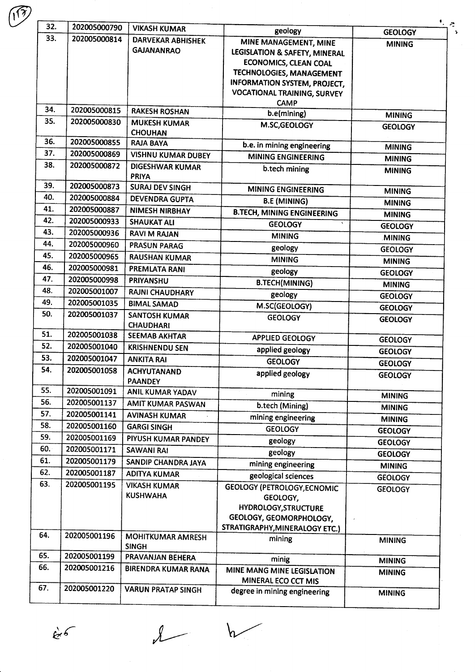|     | 202005000790 | <b>VIKASH KUMAR</b>                           | geology                                                                                                                                                                                         | <b>GEOLOGY</b>                  |
|-----|--------------|-----------------------------------------------|-------------------------------------------------------------------------------------------------------------------------------------------------------------------------------------------------|---------------------------------|
| 33. | 202005000814 | <b>DARVEKAR ABHISHEK</b><br><b>GAJANANRAO</b> | MINE MANAGEMENT, MINE<br>LEGISLATION & SAFETY, MINERAL<br><b>ECONOMICS, CLEAN COAL</b><br>TECHNOLOGIES, MANAGEMENT<br><b>INFORMATION SYSTEM, PROJECT,</b><br><b>VOCATIONAL TRAINING, SURVEY</b> | <b>MINING</b>                   |
| 34. | 202005000815 | <b>RAKESH ROSHAN</b>                          | <b>CAMP</b><br>b.e(mining)                                                                                                                                                                      |                                 |
| 35. | 202005000830 | <b>MUKESH KUMAR</b>                           | M.SC, GEOLOGY                                                                                                                                                                                   | <b>MINING</b><br><b>GEOLOGY</b> |
|     |              | <b>CHOUHAN</b>                                |                                                                                                                                                                                                 |                                 |
| 36. | 202005000855 | <b>RAJA BAYA</b>                              | b.e. in mining engineering                                                                                                                                                                      | <b>MINING</b>                   |
| 37. | 202005000869 | <b>VISHNU KUMAR DUBEY</b>                     | <b>MINING ENGINEERING</b>                                                                                                                                                                       | <b>MINING</b>                   |
| 38. | 202005000872 | <b>DIGESHWAR KUMAR</b><br><b>PRIYA</b>        | b.tech mining                                                                                                                                                                                   | <b>MINING</b>                   |
| 39. | 202005000873 | <b>SURAJ DEV SINGH</b>                        | <b>MINING ENGINEERING</b>                                                                                                                                                                       | <b>MINING</b>                   |
| 40. | 202005000884 | <b>DEVENDRA GUPTA</b>                         | <b>B.E (MINING)</b>                                                                                                                                                                             | <b>MINING</b>                   |
| 41. | 202005000887 | <b>NIMESH NIRBHAY</b>                         | <b>B.TECH, MINING ENGINEERING</b>                                                                                                                                                               | <b>MINING</b>                   |
| 42. | 202005000933 | <b>SHAUKAT ALI</b>                            | <b>GEOLOGY</b><br>$\mathbf{v}$                                                                                                                                                                  | <b>GEOLOGY</b>                  |
| 43. | 202005000936 | <b>RAVI M RAJAN</b>                           | <b>MINING</b>                                                                                                                                                                                   | <b>MINING</b>                   |
| 44. | 202005000960 | <b>PRASUN PARAG</b>                           | geology                                                                                                                                                                                         | <b>GEOLOGY</b>                  |
| 45. | 202005000965 | <b>RAUSHAN KUMAR</b>                          | <b>MINING</b>                                                                                                                                                                                   | <b>MINING</b>                   |
| 46. | 202005000981 | <b>PREMLATA RANI</b>                          | geology                                                                                                                                                                                         | <b>GEOLOGY</b>                  |
| 47. | 202005000998 | PRIYANSHU                                     | <b>B.TECH(MINING)</b>                                                                                                                                                                           | <b>MINING</b>                   |
| 48. | 202005001007 | <b>RAJNI CHAUDHARY</b>                        | geology                                                                                                                                                                                         | <b>GEOLOGY</b>                  |
| 49. | 202005001035 | <b>BIMAL SAMAD</b>                            | M.SC(GEOLOGY)                                                                                                                                                                                   | <b>GEOLOGY</b>                  |
| 50. | 202005001037 | <b>SANTOSH KUMAR</b><br><b>CHAUDHARI</b>      | <b>GEOLOGY</b>                                                                                                                                                                                  | <b>GEOLOGY</b>                  |
| 51. | 202005001038 | <b>SEEMAB AKHTAR</b>                          | <b>APPLIED GEOLOGY</b>                                                                                                                                                                          | <b>GEOLOGY</b>                  |
| 52. | 202005001040 | <b>KRISHNENDU SEN</b>                         | applied geology                                                                                                                                                                                 | <b>GEOLOGY</b>                  |
| 53. | 202005001047 | <b>ANKITA RAI</b>                             | <b>GEOLOGY</b>                                                                                                                                                                                  | <b>GEOLOGY</b>                  |
| 54. | 202005001058 | <b>ACHYUTANAND</b><br><b>PAANDEY</b>          | applied geology                                                                                                                                                                                 | <b>GEOLOGY</b>                  |
| 55. | 202005001091 | ANIL KUMAR YADAV                              | mining                                                                                                                                                                                          | <b>MINING</b>                   |
| 56. | 202005001137 | AMIT KUMAR PASWAN                             | b.tech (Mining)                                                                                                                                                                                 | <b>MINING</b>                   |
| 57. | 202005001141 | <b>AVINASH KUMAR</b>                          | mining engineering                                                                                                                                                                              | <b>MINING</b>                   |
| 58. | 202005001160 | <b>GARGI SINGH</b>                            | <b>GEOLOGY</b>                                                                                                                                                                                  | <b>GEOLOGY</b>                  |
| 59. | 202005001169 | PIYUSH KUMAR PANDEY                           | geology                                                                                                                                                                                         | <b>GEOLOGY</b>                  |
| 60. | 202005001171 | <b>SAWANI RAI</b>                             | geology                                                                                                                                                                                         | <b>GEOLOGY</b>                  |
| 61. | 202005001179 | SANDIP CHANDRA JAYA                           | mining engineering                                                                                                                                                                              | <b>MINING</b>                   |
| 62. | 202005001187 | ADITYA KUMAR                                  | geological sciences                                                                                                                                                                             | <b>GEOLOGY</b>                  |
| 63. | 202005001195 | <b>VIKASH KUMAR</b><br><b>KUSHWAHA</b>        | <b>GEOLOGY (PETROLOGY, ECNOMIC</b><br>GEOLOGY,<br><b>HYDROLOGY, STRUCTURE</b><br>GEOLOGY, GEOMORPHOLOGY,<br>STRATIGRAPHY, MINERALOGY ETC.)                                                      | <b>GEOLOGY</b>                  |
| 64. | 202005001196 | <b>MOHITKUMAR AMRESH</b><br><b>SINGH</b>      | mining                                                                                                                                                                                          | <b>MINING</b>                   |
| 65. | 202005001199 | PRAVANJAN BEHERA                              | minig                                                                                                                                                                                           | <b>MINING</b>                   |
| 66. | 202005001216 | BIRENDRA KUMAR RANA                           | MINE MANG MINE LEGISLATION<br>MINERAL ECO CCT MIS                                                                                                                                               | <b>MINING</b>                   |
| 67. | 202005001220 | <b>VARUN PRATAP SINGH</b>                     |                                                                                                                                                                                                 |                                 |

 $h$ 

 $c^{6}$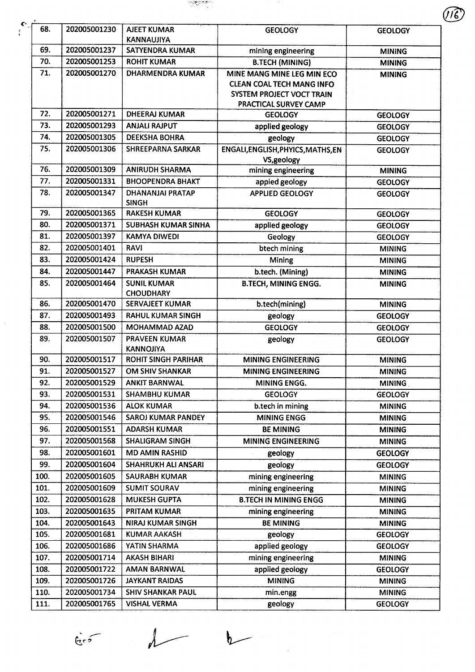

 $\bullet$ 

| 68.  | 202005001230 | <b>AJEET KUMAR</b><br><b>KANNAUJIYA</b>  | <b>GEOLOGY</b>                                                                                                       | <b>GEOLOGY</b> |
|------|--------------|------------------------------------------|----------------------------------------------------------------------------------------------------------------------|----------------|
| 69.  | 202005001237 | <b>SATYENDRA KUMAR</b>                   | mining engineering                                                                                                   | <b>MINING</b>  |
| 70.  | 202005001253 | <b>ROHIT KUMAR</b>                       | <b>B.TECH (MINING)</b>                                                                                               | <b>MINING</b>  |
| 71.  | 202005001270 | <b>DHARMENDRA KUMAR</b>                  | MINE MANG MINE LEG MIN ECO<br><b>CLEAN COAL TECH MANG INFO</b><br>SYSTEM PROJECT VOCT TRAIN<br>PRACTICAL SURVEY CAMP | <b>MINING</b>  |
| 72.  | 202005001271 | <b>DHEERAJ KUMAR</b>                     | <b>GEOLOGY</b>                                                                                                       | <b>GEOLOGY</b> |
| 73.  | 202005001293 | <b>ANJALI RAJPUT</b>                     | applied geology                                                                                                      | <b>GEOLOGY</b> |
| 74.  | 202005001305 | <b>DEEKSHA BOHRA</b>                     | geology                                                                                                              | <b>GEOLOGY</b> |
| 75.  | 202005001306 | <b>SHREEPARNA SARKAR</b>                 | ENGALI, ENGLISH, PHYICS, MATHS, EN<br>VS, geology                                                                    | <b>GEOLOGY</b> |
| 76.  | 202005001309 | <b>ANIRUDH SHARMA</b>                    | mining engineering                                                                                                   | <b>MINING</b>  |
| 77.  | 202005001331 | <b>BHOOPENDRA BHAKT</b>                  | appied geology                                                                                                       | <b>GEOLOGY</b> |
| 78.  | 202005001347 | <b>DHANANJAI PRATAP</b><br><b>SINGH</b>  | <b>APPLIED GEOLOGY</b>                                                                                               | <b>GEOLOGY</b> |
| 79.  | 202005001365 | <b>RAKESH KUMAR</b>                      | <b>GEOLOGY</b>                                                                                                       | <b>GEOLOGY</b> |
| 80.  | 202005001371 | <b>SUBHASH KUMAR SINHA</b>               | applied geology                                                                                                      | <b>GEOLOGY</b> |
| 81.  | 202005001397 | <b>KAMYA DIWEDI</b>                      | Geology                                                                                                              | <b>GEOLOGY</b> |
| 82.  | 202005001401 | <b>RAVI</b>                              | btech mining                                                                                                         | <b>MINING</b>  |
| 83.  | 202005001424 | <b>RUPESH</b>                            | Mining                                                                                                               | <b>MINING</b>  |
| 84.  | 202005001447 | PRAKASH KUMAR                            | b.tech. (Mining)                                                                                                     | <b>MINING</b>  |
| 85.  | 202005001464 | <b>SUNIL KUMAR</b><br><b>CHOUDHARY</b>   | <b>B.TECH, MINING ENGG.</b>                                                                                          | <b>MINING</b>  |
| 86.  | 202005001470 | <b>SERVAJEET KUMAR</b>                   | b.tech(mining)                                                                                                       | <b>MINING</b>  |
| 87.  | 202005001493 | <b>RAHUL KUMAR SINGH</b>                 | geology                                                                                                              | <b>GEOLOGY</b> |
| 88.  | 202005001500 | MOHAMMAD AZAD                            | <b>GEOLOGY</b>                                                                                                       | <b>GEOLOGY</b> |
| 89.  | 202005001507 | <b>PRAVEEN KUMAR</b><br><b>KANNOJIYA</b> | geology                                                                                                              | <b>GEOLOGY</b> |
| 90.  | 202005001517 | <b>ROHIT SINGH PARIHAR</b>               | <b>MINING ENGINEERING</b>                                                                                            | <b>MINING</b>  |
| 91.  | 202005001527 | <b>OM SHIV SHANKAR</b>                   | <b>MINING ENGINEERING</b>                                                                                            | <b>MINING</b>  |
| 92.  | 202005001529 | <b>ANKIT BARNWAL</b>                     | MINING ENGG.                                                                                                         | <b>MINING</b>  |
| 93.  | 202005001531 | <b>SHAMBHU KUMAR</b>                     | <b>GEOLOGY</b>                                                                                                       | <b>GEOLOGY</b> |
| 94.  | 202005001536 | <b>ALOK KUMAR</b>                        | b.tech in mining                                                                                                     | <b>MINING</b>  |
| 95.  | 202005001546 | <b>SAROJ KUMAR PANDEY</b>                | <b>MINING ENGG</b>                                                                                                   | <b>MINING</b>  |
| 96.  | 202005001551 | <b>ADARSH KUMAR</b>                      | <b>BE MINING</b>                                                                                                     | <b>MINING</b>  |
| 97.  | 202005001568 | <b>SHALIGRAM SINGH</b>                   | <b>MINING ENGINEERING</b>                                                                                            | <b>MINING</b>  |
| 98.  | 202005001601 | <b>MD AMIN RASHID</b>                    | geology                                                                                                              | <b>GEOLOGY</b> |
| 99.  | 202005001604 | <b>SHAHRUKH ALI ANSARI</b>               | geology                                                                                                              | <b>GEOLOGY</b> |
| 100. | 202005001605 | <b>SAURABH KUMAR</b>                     | mining engineering                                                                                                   | <b>MINING</b>  |
| 101. | 202005001609 | <b>SUMIT SOURAV</b>                      | mining engineering                                                                                                   | <b>MINING</b>  |
| 102. | 202005001628 | <b>MUKESH GUPTA</b>                      | <b>B.TECH IN MINING ENGG</b>                                                                                         | <b>MINING</b>  |
| 103. | 202005001635 | PRITAM KUMAR                             | mining engineering                                                                                                   | <b>MINING</b>  |
| 104. | 202005001643 | <b>NIRAJ KUMAR SINGH</b>                 | <b>BE MINING</b>                                                                                                     | <b>MINING</b>  |
| 105. | 202005001681 | <b>KUMAR AAKASH</b>                      | geology                                                                                                              | <b>GEOLOGY</b> |
| 106. | 202005001686 | YATIN SHARMA                             | applied geology                                                                                                      | <b>GEOLOGY</b> |
| 107. | 202005001714 | <b>AKASH BIHARI</b>                      | mining engineering                                                                                                   | <b>MINING</b>  |
| 108. | 202005001722 | <b>AMAN BARNWAL</b>                      | applied geology                                                                                                      | <b>GEOLOGY</b> |
| 109. | 202005001726 | <b>JAYKANT RAIDAS</b>                    | <b>MINING</b>                                                                                                        | <b>MINING</b>  |
| 110. | 202005001734 | <b>SHIV SHANKAR PAUL</b>                 | min.engg                                                                                                             | <b>MINING</b>  |
| 111. | 202005001765 | <b>VISHAL VERMA</b>                      | geology                                                                                                              | <b>GEOLOGY</b> |

 $b$ 

 $\int_{0}^{\infty}$ 

 $\lambda$ 

—<br>—

 $\widehat{U\widehat{6}}$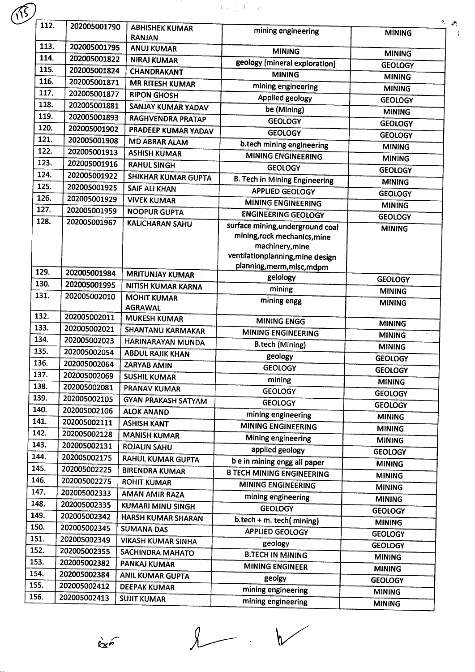|      |              |                                                | $\mathbf{Y}^{(1)}\mathbf{A}^{(1)}\mathbf{A}^{(2)}\mathbf{A}^{(3)}\mathbf{A}^{(4)}\mathbf{A}^{(5)}\mathbf{A}^{(6)}\mathbf{A}^{(7)}\mathbf{A}^{(8)}\mathbf{A}^{(8)}\mathbf{A}^{(8)}\mathbf{A}^{(8)}\mathbf{A}^{(8)}\mathbf{A}^{(8)}\mathbf{A}^{(8)}\mathbf{A}^{(8)}\mathbf{A}^{(8)}\mathbf{A}^{(8)}\mathbf{A}^{(8)}\mathbf{A}^{(8)}\mathbf{A}^{(8)}\mathbf{A}^{(8)}$ |                                 |
|------|--------------|------------------------------------------------|--------------------------------------------------------------------------------------------------------------------------------------------------------------------------------------------------------------------------------------------------------------------------------------------------------------------------------------------------------------------|---------------------------------|
| 112. | 202005001790 | <b>ABHISHEK KUMAR</b>                          | mining engineering                                                                                                                                                                                                                                                                                                                                                 |                                 |
|      |              | <b>RANJAN</b>                                  |                                                                                                                                                                                                                                                                                                                                                                    | <b>MINING</b>                   |
| 113. | 202005001795 | <b>ANUJ KUMAR</b>                              | <b>MINING</b>                                                                                                                                                                                                                                                                                                                                                      | <b>MINING</b>                   |
| 114. | 202005001822 | <b>NIRAJ KUMAR</b>                             | geology [mineral exploration]                                                                                                                                                                                                                                                                                                                                      | <b>GEOLOGY</b>                  |
| 115. | 202005001824 | <b>CHANDRAKANT</b>                             | <b>MINING</b>                                                                                                                                                                                                                                                                                                                                                      | <b>MINING</b>                   |
| 116. | 202005001871 | <b>MR RITESH KUMAR</b>                         | mining engineering                                                                                                                                                                                                                                                                                                                                                 | <b>MINING</b>                   |
| 117. | 202005001877 | <b>RIPON GHOSH</b>                             | Applied geology                                                                                                                                                                                                                                                                                                                                                    | <b>GEOLOGY</b>                  |
| 118. | 202005001881 | SANJAY KUMAR YADAV                             | be (Mining)                                                                                                                                                                                                                                                                                                                                                        | <b>MINING</b>                   |
| 119. | 202005001893 | <b>RAGHVENDRA PRATAP</b>                       | <b>GEOLOGY</b>                                                                                                                                                                                                                                                                                                                                                     | <b>GEOLOGY</b>                  |
| 120. | 202005001902 | PRADEEP KUMAR YADAV                            | <b>GEOLOGY</b>                                                                                                                                                                                                                                                                                                                                                     | <b>GEOLOGY</b>                  |
| 121. | 202005001908 | <b>MD ABRAR ALAM</b>                           | b.tech mining engineering                                                                                                                                                                                                                                                                                                                                          | <b>MINING</b>                   |
| 122. | 202005001913 | <b>ASHISH KUMAR</b>                            | <b>MINING ENGINEERING</b>                                                                                                                                                                                                                                                                                                                                          | <b>MINING</b>                   |
| 123. | 202005001916 | <b>RAHUL SINGH</b>                             | <b>GEOLOGY</b>                                                                                                                                                                                                                                                                                                                                                     | <b>GEOLOGY</b>                  |
| 124. | 202005001922 | SHIKHAR KUMAR GUPTA                            | <b>B. Tech in Mining Engineering</b>                                                                                                                                                                                                                                                                                                                               | <b>MINING</b>                   |
| 125. | 202005001925 | <b>SAIF ALI KHAN</b>                           | <b>APPLIED GEOLOGY</b>                                                                                                                                                                                                                                                                                                                                             | <b>GEOLOGY</b>                  |
| 126. | 202005001929 | <b>VIVEK KUMAR</b>                             | <b>MINING ENGINEERING</b>                                                                                                                                                                                                                                                                                                                                          | <b>MINING</b>                   |
| 127. | 202005001959 | <b>NOOPUR GUPTA</b>                            | <b>ENGINEERING GEOLOGY</b>                                                                                                                                                                                                                                                                                                                                         | <b>GEOLOGY</b>                  |
| 128. | 202005001967 | <b>KALICHARAN SAHU</b>                         | surface mining, underground coal                                                                                                                                                                                                                                                                                                                                   | <b>MINING</b>                   |
|      |              |                                                | mining, rock mechanics, mine<br>machinery, mine<br>ventilationplanning, mine design                                                                                                                                                                                                                                                                                |                                 |
| 129. | 202005001984 |                                                | planning, merm, mlsc, mdpm                                                                                                                                                                                                                                                                                                                                         |                                 |
| 130. |              | <b>MRITUNJAY KUMAR</b>                         | gelology                                                                                                                                                                                                                                                                                                                                                           | <b>GEOLOGY</b>                  |
| 131. | 202005001995 | NITISH KUMAR KARNA                             | mining                                                                                                                                                                                                                                                                                                                                                             | <b>MINING</b>                   |
|      | 202005002010 | <b>MOHIT KUMAR</b><br><b>AGRAWAL</b>           | mining engg                                                                                                                                                                                                                                                                                                                                                        | <b>MINING</b>                   |
| 132. | 202005002011 | <b>MUKESH KUMAR</b>                            | <b>MINING ENGG</b>                                                                                                                                                                                                                                                                                                                                                 | <b>MINING</b>                   |
| 133. | 202005002021 | <b>SHANTANU KARMAKAR</b>                       | MINING ENGINEERING                                                                                                                                                                                                                                                                                                                                                 | <b>MINING</b>                   |
| 134. | 202005002023 | HARINARAYAN MUNDA                              | <b>B.tech (Mining)</b>                                                                                                                                                                                                                                                                                                                                             | <b>MINING</b>                   |
| 135. | 202005002054 | <b>ABDUL RAJIK KHAN</b>                        | geology                                                                                                                                                                                                                                                                                                                                                            | <b>GEOLOGY</b>                  |
| 136. | 202005002064 | ZARYAB AMIN                                    | <b>GEOLOGY</b>                                                                                                                                                                                                                                                                                                                                                     | <b>GEOLOGY</b>                  |
| 137. | 202005002069 | <b>SUSHIL KUMAR</b>                            | mining                                                                                                                                                                                                                                                                                                                                                             | <b>MINING</b>                   |
| 138. | 202005002081 | PRANAV KUMAR                                   | <b>GEOLOGY</b>                                                                                                                                                                                                                                                                                                                                                     | <b>GEOLOGY</b>                  |
| 139. | 202005002105 | <b>GYAN PRAKASH SATYAM</b>                     | <b>GEOLOGY</b>                                                                                                                                                                                                                                                                                                                                                     | <b>GEOLOGY</b>                  |
| 140. | 202005002106 | <b>ALOK ANAND</b>                              | mining engineering                                                                                                                                                                                                                                                                                                                                                 | <b>MINING</b>                   |
| 141. | 202005002111 | <b>ASHISH KANT</b>                             | <b>MINING ENGINEERING</b>                                                                                                                                                                                                                                                                                                                                          | <b>MINING</b>                   |
| 142. | 202005002128 | <b>MANISH KUMAR</b>                            | Mining engineering                                                                                                                                                                                                                                                                                                                                                 | <b>MINING</b>                   |
| 143. | 202005002131 | <b>ROJALIN SAHU</b>                            | applied geology                                                                                                                                                                                                                                                                                                                                                    |                                 |
| 144. | 202005002175 | <b>RAHUL KUMAR GUPTA</b>                       | be in mining engg all paper                                                                                                                                                                                                                                                                                                                                        | <b>GEOLOGY</b>                  |
| 145. | 202005002225 | <b>BIRENDRA KUMAR</b>                          | <b>B TECH MINING ENGINEERING</b>                                                                                                                                                                                                                                                                                                                                   | <b>MINING</b>                   |
| 146. | 202005002275 | <b>ROHIT KUMAR</b>                             | <b>MINING ENGINEERING</b>                                                                                                                                                                                                                                                                                                                                          | <b>MINING</b>                   |
| 147. | 202005002333 | AMAN AMIR RAZA                                 | mining engineering                                                                                                                                                                                                                                                                                                                                                 | <b>MINING</b>                   |
| 148. | 202005002335 | <b>KUMARI MINU SINGH</b>                       | <b>GEOLOGY</b>                                                                                                                                                                                                                                                                                                                                                     | <b>MINING</b>                   |
| 149. | 202005002342 | <b>HARSH KUMAR SHARAN</b>                      | b.tech + m. tech(mining)                                                                                                                                                                                                                                                                                                                                           | <b>GEOLOGY</b>                  |
| 150. | 202005002345 | <b>SUMANA DAS</b>                              | <b>APPLIED GEOLOGY</b>                                                                                                                                                                                                                                                                                                                                             | <b>MINING</b>                   |
| 151. | 202005002349 | <b>VIKASH KUMAR SINHA</b>                      |                                                                                                                                                                                                                                                                                                                                                                    | <b>GEOLOGY</b>                  |
|      | 202005002355 | SACHINDRA MAHATO                               | geology<br><b>B.TECH IN MINING</b>                                                                                                                                                                                                                                                                                                                                 | <b>GEOLOGY</b>                  |
| 152. |              |                                                |                                                                                                                                                                                                                                                                                                                                                                    | <b>MINING</b>                   |
| 153. | 202005002382 |                                                |                                                                                                                                                                                                                                                                                                                                                                    |                                 |
| 154. | 202005002384 | PANKAJ KUMAR                                   | <b>MINING ENGINEER</b>                                                                                                                                                                                                                                                                                                                                             | <b>MINING</b>                   |
| 155. | 202005002412 | <b>ANIL KUMAR GUPTA</b><br><b>DEEPAK KUMAR</b> | geolgy<br>mining engineering                                                                                                                                                                                                                                                                                                                                       | <b>GEOLOGY</b><br><b>MINING</b> |

 $\sum_{i=1}^{n}$ 

 $\begin{picture}(220,20) \put(0,0){\dashbox{0.5}(5,0){ }} \thicklines \put(0,0){\dashbox{0.5}(5,0){ }} \thicklines \put(1,0){\dashbox{0.5}(5,0){ }} \thicklines \put(1,0){\dashbox{0.5}(5,0){ }} \thicklines \put(1,0){\dashbox{0.5}(5,0){ }} \thicklines \put(1,0){\dashbox{0.5}(5,0){ }} \thicklines \put(1,0){\dashbox{0.5}(5,0){ }} \thicklines \put(1,0){\dashbox{0.5}(5,0){ }} \thicklines \put(1,0){\dashbox{0.5}(5$ 

 $\angle$ 

ķ.